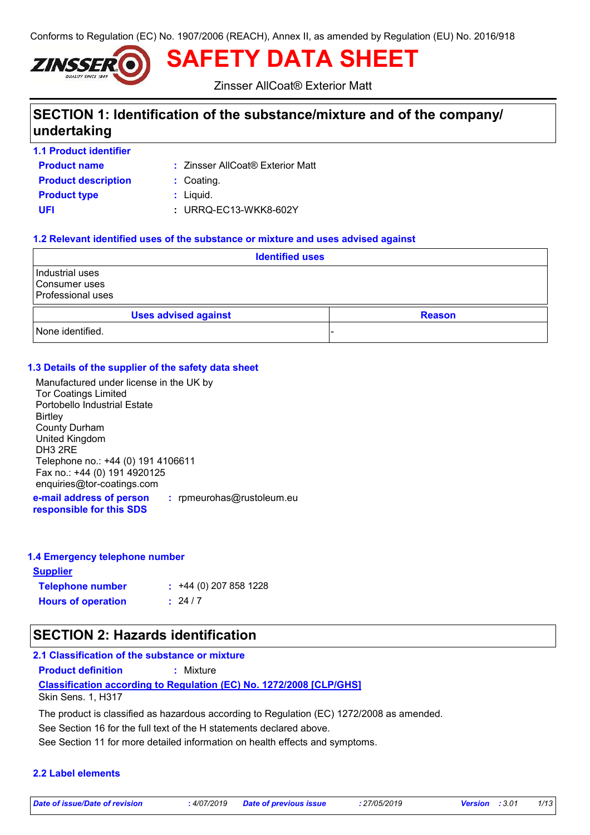Conforms to Regulation (EC) No. 1907/2006 (REACH), Annex II, as amended by Regulation (EU) No. 2016/918



**SAFETY DATA SHEET**

Zinsser AllCoat® Exterior Matt

# **SECTION 1: Identification of the substance/mixture and of the company/ undertaking**

**1.1 Product identifier**

**Product name**

Zinsser AllCoat® Exterior Matt **:**

**Product type**  $\qquad$ **:** Liquid. **Product description :** Coating.

**UFI :** URRQ-EC13-WKK8-602Y

### **1.2 Relevant identified uses of the substance or mixture and uses advised against**

| <b>Identified uses</b>                                       |                             |               |
|--------------------------------------------------------------|-----------------------------|---------------|
| Industrial uses<br>Consumer uses<br><b>Professional uses</b> |                             |               |
|                                                              | <b>Uses advised against</b> | <b>Reason</b> |
| None identified.                                             |                             |               |

### **1.3 Details of the supplier of the safety data sheet**

**e-mail address of person :** rpmeurohas@rustoleum.eu Manufactured under license in the UK by Tor Coatings Limited Portobello Industrial Estate **Birtley** County Durham United Kingdom DH3 2RE Telephone no.: +44 (0) 191 4106611 Fax no.: +44 (0) 191 4920125 enquiries@tor-coatings.com

**responsible for this SDS**

#### **1.4 Emergency telephone number**

**Supplier**

**Telephone number : Hours of operation :**  $: 24 / 7$  $\div$  +44 (0) 207 858 1228

# **SECTION 2: Hazards identification**

## **2.1 Classification of the substance or mixture**

**Product definition :** Mixture

## **Classification according to Regulation (EC) No. 1272/2008 [CLP/GHS]**

Skin Sens. 1, H317

The product is classified as hazardous according to Regulation (EC) 1272/2008 as amended.

See Section 16 for the full text of the H statements declared above.

See Section 11 for more detailed information on health effects and symptoms.

## **2.2 Label elements**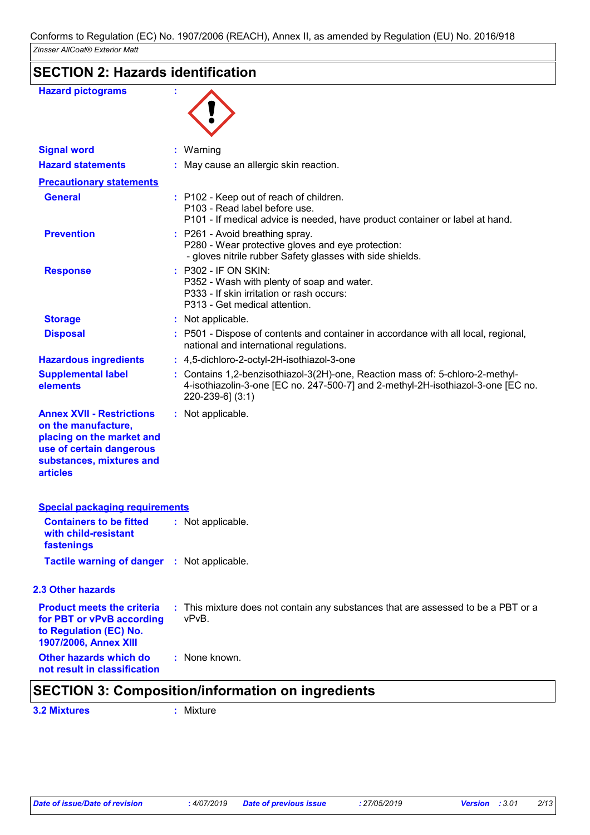# **SECTION 2: Hazards identification**

| <b>Hazard pictograms</b>                                                                                                                                        |                                                                                                                                                                                       |
|-----------------------------------------------------------------------------------------------------------------------------------------------------------------|---------------------------------------------------------------------------------------------------------------------------------------------------------------------------------------|
| <b>Signal word</b>                                                                                                                                              | : Warning                                                                                                                                                                             |
| <b>Hazard statements</b>                                                                                                                                        | : May cause an allergic skin reaction.                                                                                                                                                |
| <b>Precautionary statements</b>                                                                                                                                 |                                                                                                                                                                                       |
| <b>General</b>                                                                                                                                                  | : P102 - Keep out of reach of children.<br>P103 - Read label before use.<br>P101 - If medical advice is needed, have product container or label at hand.                              |
| <b>Prevention</b>                                                                                                                                               | : P261 - Avoid breathing spray.<br>P280 - Wear protective gloves and eye protection:<br>- gloves nitrile rubber Safety glasses with side shields.                                     |
| <b>Response</b>                                                                                                                                                 | : P302 - IF ON SKIN:<br>P352 - Wash with plenty of soap and water.<br>P333 - If skin irritation or rash occurs:<br>P313 - Get medical attention.                                      |
| <b>Storage</b>                                                                                                                                                  | : Not applicable.                                                                                                                                                                     |
| <b>Disposal</b>                                                                                                                                                 | : P501 - Dispose of contents and container in accordance with all local, regional,<br>national and international regulations.                                                         |
| <b>Hazardous ingredients</b>                                                                                                                                    | : 4,5-dichloro-2-octyl-2H-isothiazol-3-one                                                                                                                                            |
| <b>Supplemental label</b><br>elements                                                                                                                           | : Contains 1,2-benzisothiazol-3(2H)-one, Reaction mass of: 5-chloro-2-methyl-<br>4-isothiazolin-3-one [EC no. 247-500-7] and 2-methyl-2H-isothiazol-3-one [EC no.<br>220-239-6] (3:1) |
| <b>Annex XVII - Restrictions</b><br>on the manufacture,<br>placing on the market and<br>use of certain dangerous<br>substances, mixtures and<br><b>articles</b> | : Not applicable.                                                                                                                                                                     |
| <b>Special packaging requirements</b>                                                                                                                           |                                                                                                                                                                                       |
| <b>Containers to be fitted</b><br>with child-resistant<br>fastenings                                                                                            | : Not applicable.                                                                                                                                                                     |
| Tactile warning of danger : Not applicable.                                                                                                                     |                                                                                                                                                                                       |
| 2.3 Other hazards                                                                                                                                               |                                                                                                                                                                                       |
| <b>Product meets the criteria</b><br>for PBT or vPvB according<br>to Regulation (EC) No.<br>1907/2006, Annex XIII                                               | : This mixture does not contain any substances that are assessed to be a PBT or a<br>vPvB.                                                                                            |
| Other hazards which do<br>not result in classification                                                                                                          | : None known.                                                                                                                                                                         |

# **SECTION 3: Composition/information on ingredients**

**3.2 Mixtures :** Mixture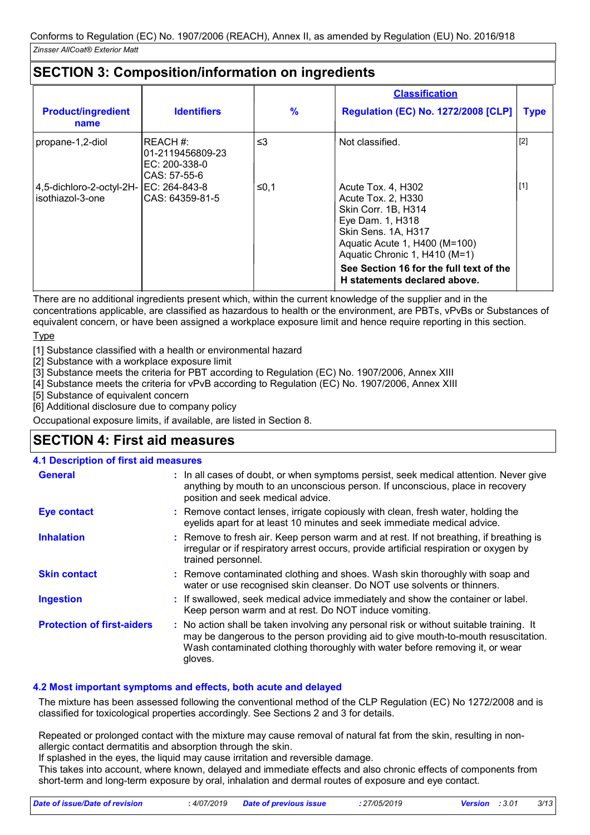# **SECTION 3: Composition/information on ingredients**

|                                                               |                                                                |               | <b>Classification</b>                                                                                                                                                                                                   |             |
|---------------------------------------------------------------|----------------------------------------------------------------|---------------|-------------------------------------------------------------------------------------------------------------------------------------------------------------------------------------------------------------------------|-------------|
| <b>Product/ingredient</b><br>name                             | <b>Identifiers</b>                                             | $\frac{9}{6}$ | <b>Regulation (EC) No. 1272/2008 [CLP]</b>                                                                                                                                                                              | <b>Type</b> |
| propane-1,2-diol                                              | REACH #:<br>l01-2119456809-23<br>EC: 200-338-0<br>CAS: 57-55-6 | $\leq$ 3      | Not classified.                                                                                                                                                                                                         | $[2]$       |
| 4,5-dichloro-2-octyl-2H-  EC: 264-843-8<br>l isothiazol-3-one | CAS: 64359-81-5                                                | ≤0,1          | Acute Tox. 4, H302<br>Acute Tox. 2, H330<br>Skin Corr. 1B, H314<br>Eye Dam. 1, H318<br>Skin Sens. 1A, H317<br>Aquatic Acute 1, H400 (M=100)<br>Aquatic Chronic 1, H410 (M=1)<br>See Section 16 for the full text of the | $[1]$       |
|                                                               |                                                                |               | H statements declared above.                                                                                                                                                                                            |             |

There are no additional ingredients present which, within the current knowledge of the supplier and in the concentrations applicable, are classified as hazardous to health or the environment, are PBTs, vPvBs or Substances of equivalent concern, or have been assigned a workplace exposure limit and hence require reporting in this section.

Type

[1] Substance classified with a health or environmental hazard

[2] Substance with a workplace exposure limit

[3] Substance meets the criteria for PBT according to Regulation (EC) No. 1907/2006, Annex XIII

[4] Substance meets the criteria for vPvB according to Regulation (EC) No. 1907/2006, Annex XIII

[5] Substance of equivalent concern

[6] Additional disclosure due to company policy

Occupational exposure limits, if available, are listed in Section 8.

# **SECTION 4: First aid measures**

#### **4.1 Description of first aid measures**

| <b>General</b>                    | : In all cases of doubt, or when symptoms persist, seek medical attention. Never give<br>anything by mouth to an unconscious person. If unconscious, place in recovery<br>position and seek medical advice.                                                              |
|-----------------------------------|--------------------------------------------------------------------------------------------------------------------------------------------------------------------------------------------------------------------------------------------------------------------------|
| <b>Eye contact</b>                | : Remove contact lenses, irrigate copiously with clean, fresh water, holding the<br>eyelids apart for at least 10 minutes and seek immediate medical advice.                                                                                                             |
| <b>Inhalation</b>                 | : Remove to fresh air. Keep person warm and at rest. If not breathing, if breathing is<br>irregular or if respiratory arrest occurs, provide artificial respiration or oxygen by<br>trained personnel.                                                                   |
| <b>Skin contact</b>               | : Remove contaminated clothing and shoes. Wash skin thoroughly with soap and<br>water or use recognised skin cleanser. Do NOT use solvents or thinners.                                                                                                                  |
| <b>Ingestion</b>                  | : If swallowed, seek medical advice immediately and show the container or label.<br>Keep person warm and at rest. Do NOT induce vomiting.                                                                                                                                |
| <b>Protection of first-aiders</b> | : No action shall be taken involving any personal risk or without suitable training. It<br>may be dangerous to the person providing aid to give mouth-to-mouth resuscitation.<br>Wash contaminated clothing thoroughly with water before removing it, or wear<br>gloves. |

## **4.2 Most important symptoms and effects, both acute and delayed**

The mixture has been assessed following the conventional method of the CLP Regulation (EC) No 1272/2008 and is classified for toxicological properties accordingly. See Sections 2 and 3 for details.

Repeated or prolonged contact with the mixture may cause removal of natural fat from the skin, resulting in nonallergic contact dermatitis and absorption through the skin.

If splashed in the eyes, the liquid may cause irritation and reversible damage.

This takes into account, where known, delayed and immediate effects and also chronic effects of components from short-term and long-term exposure by oral, inhalation and dermal routes of exposure and eve contact.

| Date of issue/Date of revision | : 4/07/2019 Date of previous issue | . 27/05/2019 | <b>Version</b> : 3.01 | 3/13 |
|--------------------------------|------------------------------------|--------------|-----------------------|------|
|--------------------------------|------------------------------------|--------------|-----------------------|------|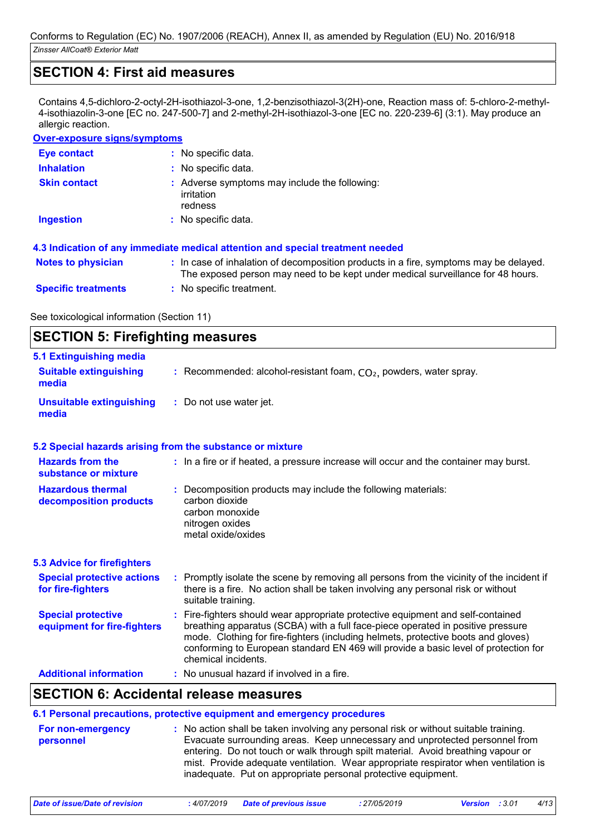## **SECTION 4: First aid measures**

Contains 4,5-dichloro-2-octyl-2H-isothiazol-3-one, 1,2-benzisothiazol-3(2H)-one, Reaction mass of: 5-chloro-2-methyl-4-isothiazolin-3-one [EC no. 247-500-7] and 2-methyl-2H-isothiazol-3-one [EC no. 220-239-6] (3:1). May produce an allergic reaction.

### **Over-exposure signs/symptoms**

| <b>Eye contact</b>         | : No specific data.                                                                                                                                                      |
|----------------------------|--------------------------------------------------------------------------------------------------------------------------------------------------------------------------|
| <b>Inhalation</b>          | : No specific data.                                                                                                                                                      |
| <b>Skin contact</b>        | : Adverse symptoms may include the following:<br>irritation<br>redness                                                                                                   |
| <b>Ingestion</b>           | : No specific data.                                                                                                                                                      |
|                            | 4.3 Indication of any immediate medical attention and special treatment needed                                                                                           |
| <b>Notes to physician</b>  | : In case of inhalation of decomposition products in a fire, symptoms may be delayed.<br>The exposed person may need to be kept under medical surveillance for 48 hours. |
| <b>Specific treatments</b> | : No specific treatment.                                                                                                                                                 |

See toxicological information (Section 11)

#### **SECTION 5: Firefighting measures** Recommended: alcohol-resistant foam, CO₂, powders, water spray. **: :** Do not use water jet. **Hazardous thermal decomposition products Hazards from the substance or mixture Special protective equipment for fire-fighters 5.1 Extinguishing media :** In a fire or if heated, a pressure increase will occur and the container may burst. **:** Decomposition products may include the following materials: **:** Fire-fighters should wear appropriate protective equipment and self-contained **Suitable extinguishing media Unsuitable extinguishing media 5.2 Special hazards arising from the substance or mixture 5.3 Advice for firefighters Special protective actions for fire-fighters :** Promptly isolate the scene by removing all persons from the vicinity of the incident if there is a fire. No action shall be taken involving any personal risk or without suitable training. breathing apparatus (SCBA) with a full face-piece operated in positive pressure mode. Clothing for fire-fighters (including helmets, protective boots and gloves) conforming to European standard EN 469 will provide a basic level of protection for chemical incidents. carbon dioxide carbon monoxide nitrogen oxides metal oxide/oxides

| <b>Additional information</b> | : No unusual hazard if involved in a fire. |  |
|-------------------------------|--------------------------------------------|--|
|-------------------------------|--------------------------------------------|--|

## **SECTION 6: Accidental release measures**

|                                | 6.1 Personal precautions, protective equipment and emergency procedures                                                                                                                                                                                                                                                                                                                                         |
|--------------------------------|-----------------------------------------------------------------------------------------------------------------------------------------------------------------------------------------------------------------------------------------------------------------------------------------------------------------------------------------------------------------------------------------------------------------|
| For non-emergency<br>personnel | : No action shall be taken involving any personal risk or without suitable training.<br>Evacuate surrounding areas. Keep unnecessary and unprotected personnel from<br>entering. Do not touch or walk through spilt material. Avoid breathing vapour or<br>mist. Provide adequate ventilation. Wear appropriate respirator when ventilation is<br>inadequate. Put on appropriate personal protective equipment. |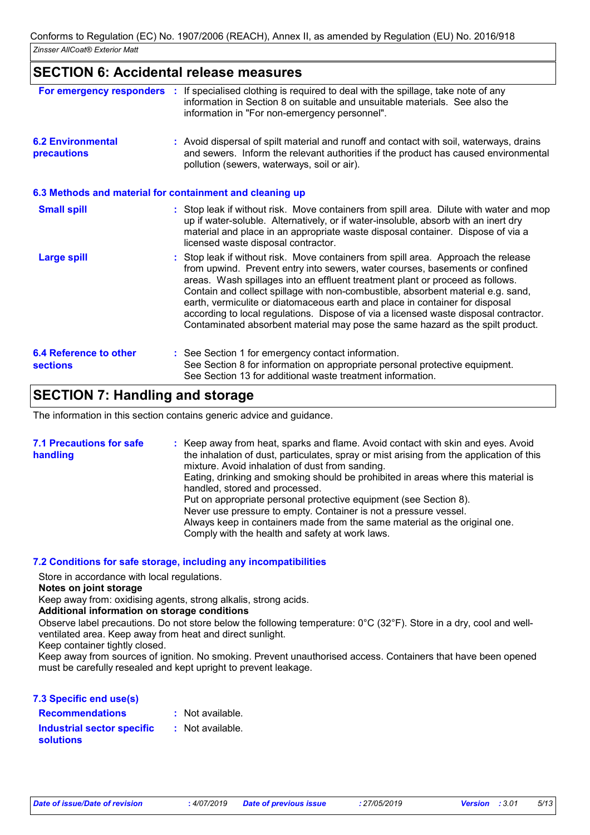## **SECTION 6: Accidental release measures**

| For emergency responders                  | If specialised clothing is required to deal with the spillage, take note of any<br>information in Section 8 on suitable and unsuitable materials. See also the<br>information in "For non-emergency personnel".                                                                                                                                                                                                                                                                                                                                                                                   |
|-------------------------------------------|---------------------------------------------------------------------------------------------------------------------------------------------------------------------------------------------------------------------------------------------------------------------------------------------------------------------------------------------------------------------------------------------------------------------------------------------------------------------------------------------------------------------------------------------------------------------------------------------------|
| <b>6.2 Environmental</b><br>precautions   | : Avoid dispersal of spilt material and runoff and contact with soil, waterways, drains<br>and sewers. Inform the relevant authorities if the product has caused environmental<br>pollution (sewers, waterways, soil or air).                                                                                                                                                                                                                                                                                                                                                                     |
|                                           | 6.3 Methods and material for containment and cleaning up                                                                                                                                                                                                                                                                                                                                                                                                                                                                                                                                          |
| <b>Small spill</b>                        | : Stop leak if without risk. Move containers from spill area. Dilute with water and mop<br>up if water-soluble. Alternatively, or if water-insoluble, absorb with an inert dry<br>material and place in an appropriate waste disposal container. Dispose of via a<br>licensed waste disposal contractor.                                                                                                                                                                                                                                                                                          |
| <b>Large spill</b>                        | : Stop leak if without risk. Move containers from spill area. Approach the release<br>from upwind. Prevent entry into sewers, water courses, basements or confined<br>areas. Wash spillages into an effluent treatment plant or proceed as follows.<br>Contain and collect spillage with non-combustible, absorbent material e.g. sand,<br>earth, vermiculite or diatomaceous earth and place in container for disposal<br>according to local regulations. Dispose of via a licensed waste disposal contractor.<br>Contaminated absorbent material may pose the same hazard as the spilt product. |
| 6.4 Reference to other<br><b>sections</b> | : See Section 1 for emergency contact information.<br>See Section 8 for information on appropriate personal protective equipment.<br>See Section 13 for additional waste treatment information.                                                                                                                                                                                                                                                                                                                                                                                                   |

## **SECTION 7: Handling and storage**

The information in this section contains generic advice and guidance.

| <b>7.1 Precautions for safe</b><br>handling | : Keep away from heat, sparks and flame. Avoid contact with skin and eyes. Avoid<br>the inhalation of dust, particulates, spray or mist arising from the application of this<br>mixture. Avoid inhalation of dust from sanding. |
|---------------------------------------------|---------------------------------------------------------------------------------------------------------------------------------------------------------------------------------------------------------------------------------|
|                                             | Eating, drinking and smoking should be prohibited in areas where this material is<br>handled, stored and processed.                                                                                                             |
|                                             | Put on appropriate personal protective equipment (see Section 8).                                                                                                                                                               |
|                                             | Never use pressure to empty. Container is not a pressure vessel.                                                                                                                                                                |
|                                             | Always keep in containers made from the same material as the original one.<br>Comply with the health and safety at work laws.                                                                                                   |

#### **7.2 Conditions for safe storage, including any incompatibilities**

Store in accordance with local regulations.

**Notes on joint storage**

Keep away from: oxidising agents, strong alkalis, strong acids.

#### **Additional information on storage conditions**

Observe label precautions. Do not store below the following temperature: 0°C (32°F). Store in a dry, cool and wellventilated area. Keep away from heat and direct sunlight.

Keep container tightly closed.

Keep away from sources of ignition. No smoking. Prevent unauthorised access. Containers that have been opened must be carefully resealed and kept upright to prevent leakage.

| 7.3 Specific end use(s)                               |                  |
|-------------------------------------------------------|------------------|
| <b>Recommendations</b>                                | : Not available. |
| <b>Industrial sector specific</b><br><b>solutions</b> | : Not available. |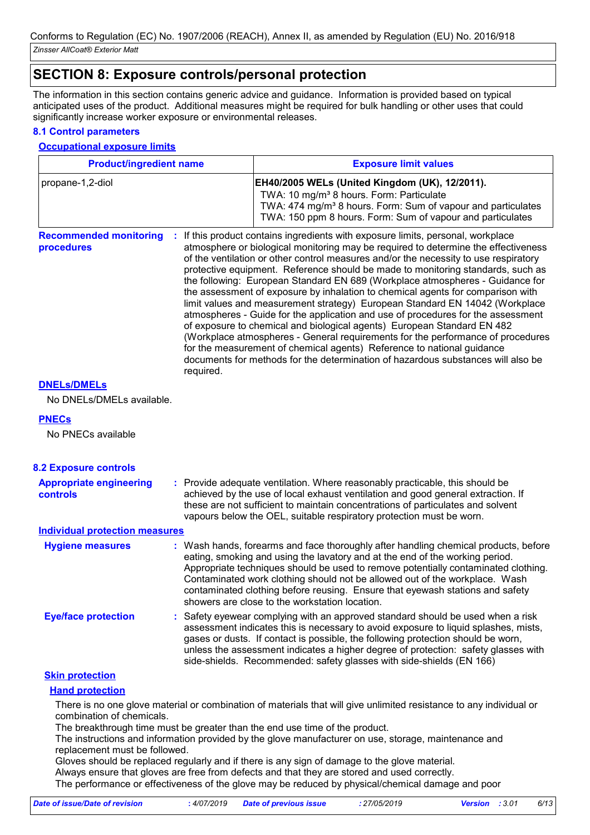## **SECTION 8: Exposure controls/personal protection**

The information in this section contains generic advice and guidance. Information is provided based on typical anticipated uses of the product. Additional measures might be required for bulk handling or other uses that could significantly increase worker exposure or environmental releases.

#### **8.1 Control parameters**

#### **Occupational exposure limits**

| <b>Product/ingredient name</b>              |           | <b>Exposure limit values</b>                                                                                                                                                                                                                                                                                                                                                                                                                                                                                                                                                                                                                                                                                                                                                                                                                                                                                                                                                                                        |  |
|---------------------------------------------|-----------|---------------------------------------------------------------------------------------------------------------------------------------------------------------------------------------------------------------------------------------------------------------------------------------------------------------------------------------------------------------------------------------------------------------------------------------------------------------------------------------------------------------------------------------------------------------------------------------------------------------------------------------------------------------------------------------------------------------------------------------------------------------------------------------------------------------------------------------------------------------------------------------------------------------------------------------------------------------------------------------------------------------------|--|
| propane-1,2-diol                            |           | EH40/2005 WELs (United Kingdom (UK), 12/2011).<br>TWA: 10 mg/m <sup>3</sup> 8 hours. Form: Particulate<br>TWA: 474 mg/m <sup>3</sup> 8 hours. Form: Sum of vapour and particulates<br>TWA: 150 ppm 8 hours. Form: Sum of vapour and particulates                                                                                                                                                                                                                                                                                                                                                                                                                                                                                                                                                                                                                                                                                                                                                                    |  |
| <b>Recommended monitoring</b><br>procedures | required. | If this product contains ingredients with exposure limits, personal, workplace<br>atmosphere or biological monitoring may be required to determine the effectiveness<br>of the ventilation or other control measures and/or the necessity to use respiratory<br>protective equipment. Reference should be made to monitoring standards, such as<br>the following: European Standard EN 689 (Workplace atmospheres - Guidance for<br>the assessment of exposure by inhalation to chemical agents for comparison with<br>limit values and measurement strategy) European Standard EN 14042 (Workplace<br>atmospheres - Guide for the application and use of procedures for the assessment<br>of exposure to chemical and biological agents) European Standard EN 482<br>(Workplace atmospheres - General requirements for the performance of procedures<br>for the measurement of chemical agents) Reference to national guidance<br>documents for methods for the determination of hazardous substances will also be |  |

### **DNELs/DMELs**

No DNELs/DMELs available.

#### **PNECs**

No PNECs available

| <b>8.2 Exposure controls</b>                      |                                                                                                                                                                                                                                                                                                                                                                                                                                                                             |
|---------------------------------------------------|-----------------------------------------------------------------------------------------------------------------------------------------------------------------------------------------------------------------------------------------------------------------------------------------------------------------------------------------------------------------------------------------------------------------------------------------------------------------------------|
| <b>Appropriate engineering</b><br><b>controls</b> | : Provide adequate ventilation. Where reasonably practicable, this should be<br>achieved by the use of local exhaust ventilation and good general extraction. If<br>these are not sufficient to maintain concentrations of particulates and solvent<br>vapours below the OEL, suitable respiratory protection must be worn.                                                                                                                                                 |
| <b>Individual protection measures</b>             |                                                                                                                                                                                                                                                                                                                                                                                                                                                                             |
| <b>Hygiene measures</b>                           | : Wash hands, forearms and face thoroughly after handling chemical products, before<br>eating, smoking and using the lavatory and at the end of the working period.<br>Appropriate techniques should be used to remove potentially contaminated clothing.<br>Contaminated work clothing should not be allowed out of the workplace. Wash<br>contaminated clothing before reusing. Ensure that eyewash stations and safety<br>showers are close to the workstation location. |
| <b>Eye/face protection</b>                        | : Safety eyewear complying with an approved standard should be used when a risk<br>assessment indicates this is necessary to avoid exposure to liquid splashes, mists,<br>gases or dusts. If contact is possible, the following protection should be worn,<br>unless the assessment indicates a higher degree of protection: safety glasses with<br>side-shields. Recommended: safety glasses with side-shields (EN 166)                                                    |
| <b>Skin protection</b>                            |                                                                                                                                                                                                                                                                                                                                                                                                                                                                             |
| <b>Hand protection</b>                            |                                                                                                                                                                                                                                                                                                                                                                                                                                                                             |

There is no one glove material or combination of materials that will give unlimited resistance to any individual or combination of chemicals.

The breakthrough time must be greater than the end use time of the product.

The instructions and information provided by the glove manufacturer on use, storage, maintenance and replacement must be followed.

Gloves should be replaced regularly and if there is any sign of damage to the glove material. Always ensure that gloves are free from defects and that they are stored and used correctly. The performance or effectiveness of the glove may be reduced by physical/chemical damage and poor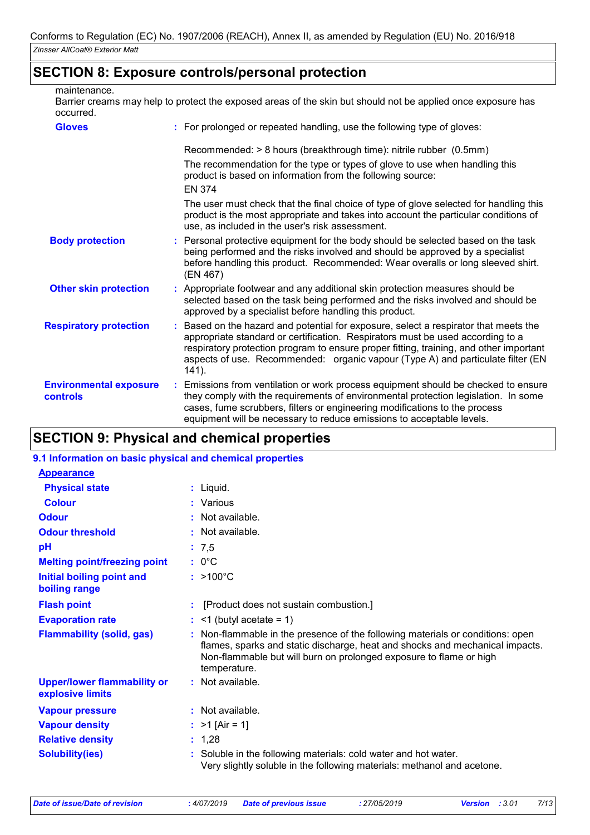## **SECTION 8: Exposure controls/personal protection**

maintenance.

Barrier creams may help to protect the exposed areas of the skin but should not be applied once exposure has occurred.

| <b>Gloves</b>                             | : For prolonged or repeated handling, use the following type of gloves:                                                                                                                                                                                                                                                                                         |
|-------------------------------------------|-----------------------------------------------------------------------------------------------------------------------------------------------------------------------------------------------------------------------------------------------------------------------------------------------------------------------------------------------------------------|
|                                           | Recommended: > 8 hours (breakthrough time): nitrile rubber (0.5mm)<br>The recommendation for the type or types of glove to use when handling this<br>product is based on information from the following source:<br><b>EN 374</b>                                                                                                                                |
|                                           | The user must check that the final choice of type of glove selected for handling this<br>product is the most appropriate and takes into account the particular conditions of<br>use, as included in the user's risk assessment.                                                                                                                                 |
| <b>Body protection</b>                    | : Personal protective equipment for the body should be selected based on the task<br>being performed and the risks involved and should be approved by a specialist<br>before handling this product. Recommended: Wear overalls or long sleeved shirt.<br>(EN 467)                                                                                               |
| <b>Other skin protection</b>              | : Appropriate footwear and any additional skin protection measures should be<br>selected based on the task being performed and the risks involved and should be<br>approved by a specialist before handling this product.                                                                                                                                       |
| <b>Respiratory protection</b>             | : Based on the hazard and potential for exposure, select a respirator that meets the<br>appropriate standard or certification. Respirators must be used according to a<br>respiratory protection program to ensure proper fitting, training, and other important<br>aspects of use. Recommended: organic vapour (Type A) and particulate filter (EN<br>$141$ ). |
| <b>Environmental exposure</b><br>controls | : Emissions from ventilation or work process equipment should be checked to ensure<br>they comply with the requirements of environmental protection legislation. In some<br>cases, fume scrubbers, filters or engineering modifications to the process<br>equipment will be necessary to reduce emissions to acceptable levels.                                 |

# **SECTION 9: Physical and chemical properties**

## **9.1 Information on basic physical and chemical properties**

| <b>Appearance</b>                                      |                    |                                                                                                                                                                                                                                      |
|--------------------------------------------------------|--------------------|--------------------------------------------------------------------------------------------------------------------------------------------------------------------------------------------------------------------------------------|
| <b>Physical state</b>                                  | $:$ Liquid.        |                                                                                                                                                                                                                                      |
| <b>Colour</b>                                          | : Various          |                                                                                                                                                                                                                                      |
| <b>Odour</b>                                           | $:$ Not available. |                                                                                                                                                                                                                                      |
| <b>Odour threshold</b>                                 | : Not available.   |                                                                                                                                                                                                                                      |
| pH                                                     | : 7,5              |                                                                                                                                                                                                                                      |
| <b>Melting point/freezing point</b>                    | $: 0^{\circ}$ C    |                                                                                                                                                                                                                                      |
| Initial boiling point and<br>boiling range             | $: >100^{\circ}C$  |                                                                                                                                                                                                                                      |
| <b>Flash point</b>                                     |                    | [Product does not sustain combustion.]                                                                                                                                                                                               |
| <b>Evaporation rate</b>                                |                    | $:$ <1 (butyl acetate = 1)                                                                                                                                                                                                           |
| <b>Flammability (solid, gas)</b>                       | temperature.       | : Non-flammable in the presence of the following materials or conditions: open<br>flames, sparks and static discharge, heat and shocks and mechanical impacts.<br>Non-flammable but will burn on prolonged exposure to flame or high |
| <b>Upper/lower flammability or</b><br>explosive limits | : Not available.   |                                                                                                                                                                                                                                      |
| <b>Vapour pressure</b>                                 | : Not available.   |                                                                                                                                                                                                                                      |
| <b>Vapour density</b>                                  | : $>1$ [Air = 1]   |                                                                                                                                                                                                                                      |
| <b>Relative density</b>                                | : 1,28             |                                                                                                                                                                                                                                      |
| <b>Solubility(ies)</b>                                 |                    | : Soluble in the following materials: cold water and hot water.<br>Very slightly soluble in the following materials: methanol and acetone.                                                                                           |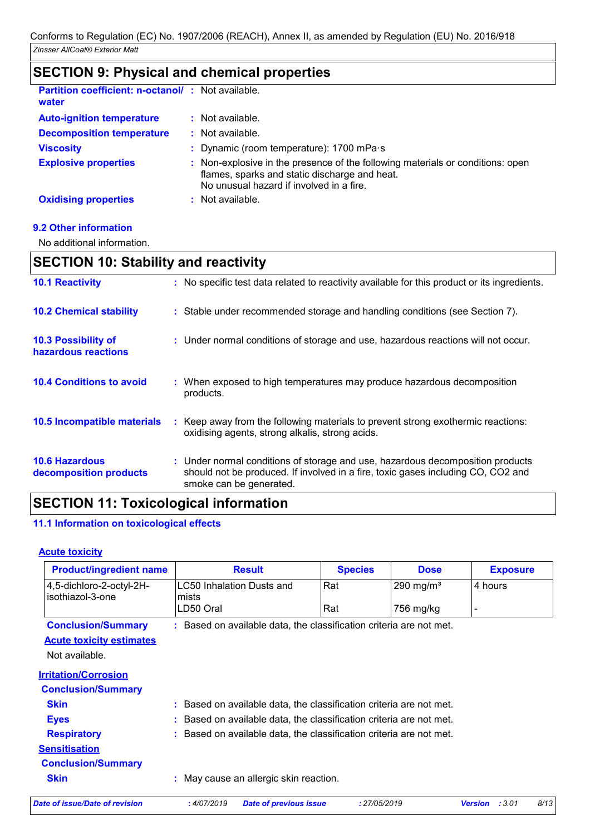| <u>ULUTIVN U. FIIYOIUUI UIIU UIIUIIIIUUI PIUPULIIUU</u>           |                                                                                                                                                                             |
|-------------------------------------------------------------------|-----------------------------------------------------------------------------------------------------------------------------------------------------------------------------|
| <b>Partition coefficient: n-octanol/: Not available.</b><br>water |                                                                                                                                                                             |
| <b>Auto-ignition temperature</b>                                  | : Not available.                                                                                                                                                            |
| <b>Decomposition temperature</b>                                  | $:$ Not available.                                                                                                                                                          |
| <b>Viscosity</b>                                                  | : Dynamic (room temperature): 1700 mPa s                                                                                                                                    |
| <b>Explosive properties</b>                                       | : Non-explosive in the presence of the following materials or conditions: open<br>flames, sparks and static discharge and heat.<br>No unusual hazard if involved in a fire. |
| <b>Oxidising properties</b>                                       | : Not available.                                                                                                                                                            |

## **SECTION 9: Physical and chemical properties**

#### **9.2 Other information**

No additional information.

# **SECTION 10: Stability and reactivity**

| <b>10.1 Reactivity</b>                          | : No specific test data related to reactivity available for this product or its ingredients.                                                                                                  |
|-------------------------------------------------|-----------------------------------------------------------------------------------------------------------------------------------------------------------------------------------------------|
| <b>10.2 Chemical stability</b>                  | : Stable under recommended storage and handling conditions (see Section 7).                                                                                                                   |
| 10.3 Possibility of<br>hazardous reactions      | : Under normal conditions of storage and use, hazardous reactions will not occur.                                                                                                             |
| <b>10.4 Conditions to avoid</b>                 | : When exposed to high temperatures may produce hazardous decomposition<br>products.                                                                                                          |
| <b>10.5 Incompatible materials</b>              | : Keep away from the following materials to prevent strong exothermic reactions:<br>oxidising agents, strong alkalis, strong acids.                                                           |
| <b>10.6 Hazardous</b><br>decomposition products | : Under normal conditions of storage and use, hazardous decomposition products<br>should not be produced. If involved in a fire, toxic gases including CO, CO2 and<br>smoke can be generated. |

# **SECTION 11: Toxicological information**

#### **11.1 Information on toxicological effects**

## **Acute toxicity**

| <b>Product/ingredient name</b>               | <b>Result</b>                                                       | <b>Species</b> | <b>Dose</b>           | <b>Exposure</b> |      |
|----------------------------------------------|---------------------------------------------------------------------|----------------|-----------------------|-----------------|------|
| 4,5-dichloro-2-octyl-2H-<br>isothiazol-3-one | LC50 Inhalation Dusts and<br>mists                                  | Rat            | 290 mg/m <sup>3</sup> | 4 hours         |      |
|                                              | LD50 Oral                                                           | Rat            | 756 mg/kg             |                 |      |
| <b>Conclusion/Summary</b>                    | : Based on available data, the classification criteria are not met. |                |                       |                 |      |
| <b>Acute toxicity estimates</b>              |                                                                     |                |                       |                 |      |
| Not available.                               |                                                                     |                |                       |                 |      |
| <b>Irritation/Corrosion</b>                  |                                                                     |                |                       |                 |      |
| <b>Conclusion/Summary</b>                    |                                                                     |                |                       |                 |      |
| <b>Skin</b>                                  | : Based on available data, the classification criteria are not met. |                |                       |                 |      |
| <b>Eyes</b>                                  | : Based on available data, the classification criteria are not met. |                |                       |                 |      |
| <b>Respiratory</b>                           | : Based on available data, the classification criteria are not met. |                |                       |                 |      |
| <b>Sensitisation</b>                         |                                                                     |                |                       |                 |      |
| <b>Conclusion/Summary</b>                    |                                                                     |                |                       |                 |      |
| <b>Skin</b>                                  | : May cause an allergic skin reaction.                              |                |                       |                 |      |
| Date of issue/Date of revision               | :4/07/2019<br><b>Date of previous issue</b>                         | : 27/05/2019   |                       | Version : 3.01  | 8/13 |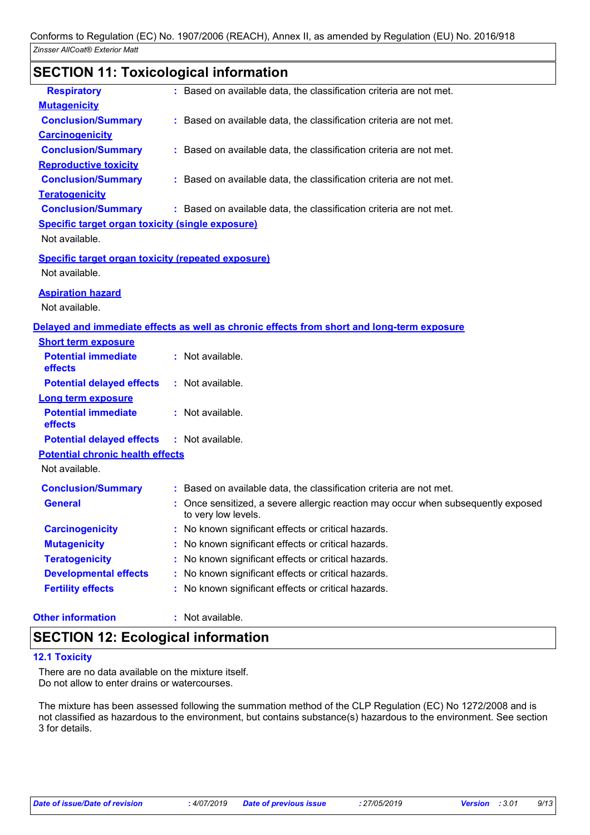# **SECTION 11: Toxicological information**

| <b>Respiratory</b>                                        | : Based on available data, the classification criteria are not met.                        |
|-----------------------------------------------------------|--------------------------------------------------------------------------------------------|
| <b>Mutagenicity</b>                                       |                                                                                            |
| <b>Conclusion/Summary</b>                                 | : Based on available data, the classification criteria are not met.                        |
| <b>Carcinogenicity</b>                                    |                                                                                            |
| <b>Conclusion/Summary</b>                                 | : Based on available data, the classification criteria are not met.                        |
| <b>Reproductive toxicity</b>                              |                                                                                            |
| <b>Conclusion/Summary</b>                                 | : Based on available data, the classification criteria are not met.                        |
| <b>Teratogenicity</b>                                     |                                                                                            |
| <b>Conclusion/Summary</b>                                 | : Based on available data, the classification criteria are not met.                        |
| <b>Specific target organ toxicity (single exposure)</b>   |                                                                                            |
| Not available.                                            |                                                                                            |
| <b>Specific target organ toxicity (repeated exposure)</b> |                                                                                            |
| Not available.                                            |                                                                                            |
| <b>Aspiration hazard</b>                                  |                                                                                            |
| Not available.                                            |                                                                                            |
|                                                           |                                                                                            |
|                                                           | Delayed and immediate effects as well as chronic effects from short and long-term exposure |
| <b>Short term exposure</b><br><b>Potential immediate</b>  | : Not available.                                                                           |
| effects                                                   |                                                                                            |
| <b>Potential delayed effects</b>                          | : Not available.                                                                           |
| <b>Long term exposure</b>                                 |                                                                                            |
| <b>Potential immediate</b>                                | : Not available.                                                                           |
| effects                                                   |                                                                                            |
| <b>Potential delayed effects</b>                          | : Not available.                                                                           |
| <b>Potential chronic health effects</b>                   |                                                                                            |
| Not available.                                            |                                                                                            |
| <b>Conclusion/Summary</b>                                 | : Based on available data, the classification criteria are not met.                        |
| <b>General</b>                                            | Once sensitized, a severe allergic reaction may occur when subsequently exposed            |
|                                                           | to very low levels.                                                                        |
| <b>Carcinogenicity</b>                                    | No known significant effects or critical hazards.                                          |
| <b>Mutagenicity</b>                                       | No known significant effects or critical hazards.                                          |
| <b>Teratogenicity</b>                                     | No known significant effects or critical hazards.                                          |
| <b>Developmental effects</b>                              | No known significant effects or critical hazards.                                          |
| <b>Fertility effects</b>                                  | : No known significant effects or critical hazards.                                        |
|                                                           |                                                                                            |

#### **Other information :**

: Not available.

## **SECTION 12: Ecological information**

#### **12.1 Toxicity**

There are no data available on the mixture itself. Do not allow to enter drains or watercourses.

The mixture has been assessed following the summation method of the CLP Regulation (EC) No 1272/2008 and is not classified as hazardous to the environment, but contains substance(s) hazardous to the environment. See section 3 for details.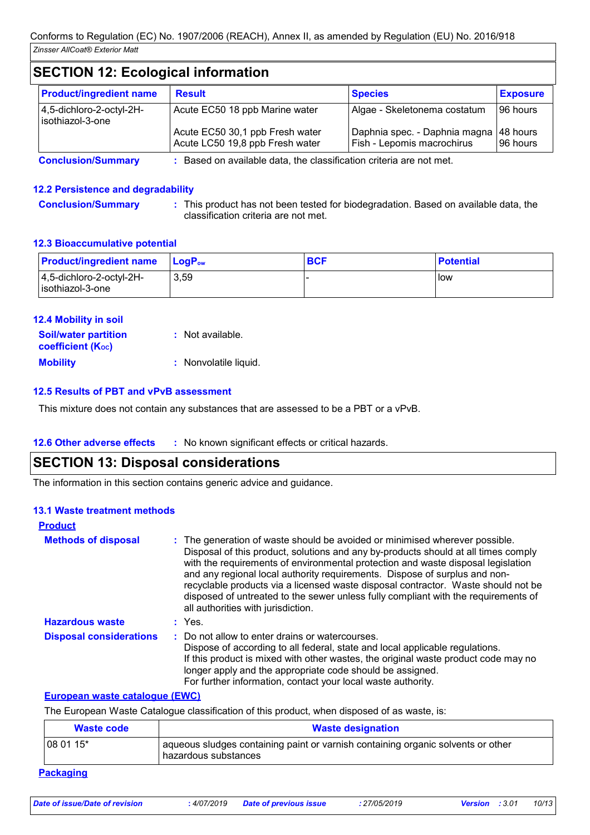# **SECTION 12: Ecological information**

| <b>Product/ingredient name</b>               | <b>Result</b>                                                      | <b>Species</b>                                                         | <b>Exposure</b> |
|----------------------------------------------|--------------------------------------------------------------------|------------------------------------------------------------------------|-----------------|
| 4,5-dichloro-2-octyl-2H-<br>isothiazol-3-one | Acute EC50 18 ppb Marine water                                     | Algae - Skeletonema costatum                                           | 196 hours       |
|                                              | Acute EC50 30,1 ppb Fresh water<br>Acute LC50 19,8 ppb Fresh water | Daphnia spec. - Daphnia magna   48 hours<br>Fish - Lepomis macrochirus | 196 hours       |

**Conclusion/Summary :** Based on available data, the classification criteria are not met.

### **12.2 Persistence and degradability**

**Conclusion/Summary :** This product has not been tested for biodegradation. Based on available data, the classification criteria are not met.

#### **12.3 Bioaccumulative potential**

| <b>Product/ingredient name</b>                  | <b>LogP</b> <sub>ow</sub> | <b>BCF</b> | ∣ Potential |
|-------------------------------------------------|---------------------------|------------|-------------|
| $ 4,5$ -dichloro-2-octyl-2H-<br>sothiazol-3-one | 3,59                      |            | low         |

| <b>12.4 Mobility in soil</b>                            |                       |
|---------------------------------------------------------|-----------------------|
| <b>Soil/water partition</b><br><b>coefficient (Koc)</b> | $:$ Not available.    |
| <b>Mobility</b>                                         | : Nonvolatile liquid. |

#### **12.5 Results of PBT and vPvB assessment**

This mixture does not contain any substances that are assessed to be a PBT or a vPvB.

#### **12.6 Other adverse effects** : No known significant effects or critical hazards.

## **SECTION 13: Disposal considerations**

The information in this section contains generic advice and guidance.

#### **13.1 Waste treatment methods**

| <b>Product</b>                 |                                                                                                                                                                                                                                                                                                                                                                                                                                                                                                                                                      |
|--------------------------------|------------------------------------------------------------------------------------------------------------------------------------------------------------------------------------------------------------------------------------------------------------------------------------------------------------------------------------------------------------------------------------------------------------------------------------------------------------------------------------------------------------------------------------------------------|
| <b>Methods of disposal</b>     | : The generation of waste should be avoided or minimised wherever possible.<br>Disposal of this product, solutions and any by-products should at all times comply<br>with the requirements of environmental protection and waste disposal legislation<br>and any regional local authority requirements. Dispose of surplus and non-<br>recyclable products via a licensed waste disposal contractor. Waste should not be<br>disposed of untreated to the sewer unless fully compliant with the requirements of<br>all authorities with jurisdiction. |
| <b>Hazardous waste</b>         | : Yes.                                                                                                                                                                                                                                                                                                                                                                                                                                                                                                                                               |
| <b>Disposal considerations</b> | : Do not allow to enter drains or watercourses.<br>Dispose of according to all federal, state and local applicable regulations.<br>If this product is mixed with other wastes, the original waste product code may no<br>longer apply and the appropriate code should be assigned.<br>For further information, contact your local waste authority.                                                                                                                                                                                                   |

#### **European waste catalogue (EWC)**

The European Waste Catalogue classification of this product, when disposed of as waste, is:

| Waste code       | <b>Waste designation</b>                                                                                 |
|------------------|----------------------------------------------------------------------------------------------------------|
| $ 080115*$       | aqueous sludges containing paint or varnish containing organic solvents or other<br>hazardous substances |
| <b>Packaging</b> |                                                                                                          |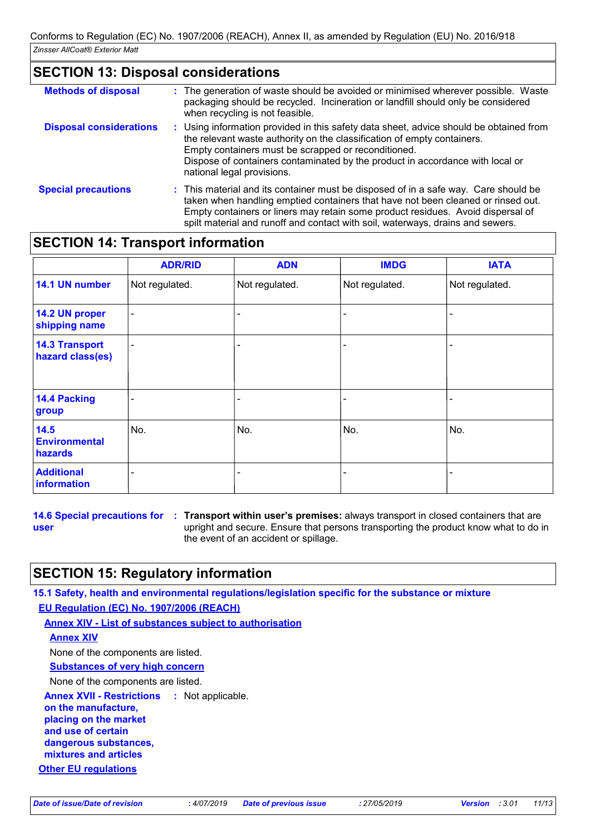## **SECTION 13: Disposal considerations**

| <b>Methods of disposal</b>     | : The generation of waste should be avoided or minimised wherever possible. Waste<br>packaging should be recycled. Incineration or landfill should only be considered<br>when recycling is not feasible.                                                                                                                                     |  |
|--------------------------------|----------------------------------------------------------------------------------------------------------------------------------------------------------------------------------------------------------------------------------------------------------------------------------------------------------------------------------------------|--|
| <b>Disposal considerations</b> | : Using information provided in this safety data sheet, advice should be obtained from<br>the relevant waste authority on the classification of empty containers.<br>Empty containers must be scrapped or reconditioned.<br>Dispose of containers contaminated by the product in accordance with local or<br>national legal provisions.      |  |
| <b>Special precautions</b>     | : This material and its container must be disposed of in a safe way. Care should be<br>taken when handling emptied containers that have not been cleaned or rinsed out.<br>Empty containers or liners may retain some product residues. Avoid dispersal of<br>spilt material and runoff and contact with soil, waterways, drains and sewers. |  |

## **SECTION 14: Transport information**

|                                           | <b>ADR/RID</b>               | <b>ADN</b>     | <b>IMDG</b>    | <b>IATA</b>    |
|-------------------------------------------|------------------------------|----------------|----------------|----------------|
| 14.1 UN number                            | Not regulated.               | Not regulated. | Not regulated. | Not regulated. |
| 14.2 UN proper<br>shipping name           | $\overline{\phantom{0}}$     |                |                |                |
| <b>14.3 Transport</b><br>hazard class(es) | $\qquad \qquad \blacksquare$ |                |                |                |
| 14.4 Packing<br>group                     |                              |                |                |                |
| 14.5<br><b>Environmental</b><br>hazards   | No.                          | No.            | No.            | No.            |
| <b>Additional</b><br>information          |                              |                |                |                |

**user**

**14.6 Special precautions for : Transport within user's premises: always transport in closed containers that are** upright and secure. Ensure that persons transporting the product know what to do in the event of an accident or spillage.

## **SECTION 15: Regulatory information**

**15.1 Safety, health and environmental regulations/legislation specific for the substance or mixture EU Regulation (EC) No. 1907/2006 (REACH)**

**Annex XIV - List of substances subject to authorisation**

#### **Annex XIV**

None of the components are listed.

**Substances of very high concern**

None of the components are listed.

**Annex XVII - Restrictions on the manufacture, placing on the market and use of certain dangerous substances,** : Not applicable.

**mixtures and articles**

**Other EU regulations**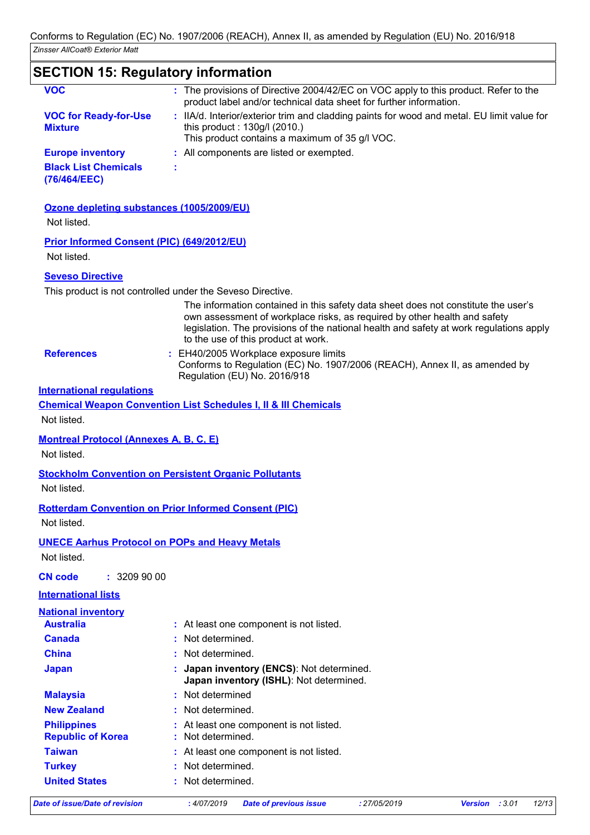| <b>SECTION 15: Regulatory information</b>                 |                                                                                                                                                                                                                                                                                                                                                                 |
|-----------------------------------------------------------|-----------------------------------------------------------------------------------------------------------------------------------------------------------------------------------------------------------------------------------------------------------------------------------------------------------------------------------------------------------------|
| <b>VOC</b>                                                | : The provisions of Directive 2004/42/EC on VOC apply to this product. Refer to the<br>product label and/or technical data sheet for further information.                                                                                                                                                                                                       |
| <b>VOC for Ready-for-Use</b><br><b>Mixture</b>            | : IIA/d. Interior/exterior trim and cladding paints for wood and metal. EU limit value for<br>this product: 130g/l (2010.)<br>This product contains a maximum of 35 g/l VOC.                                                                                                                                                                                    |
| <b>Europe inventory</b>                                   | : All components are listed or exempted.                                                                                                                                                                                                                                                                                                                        |
| <b>Black List Chemicals</b><br>(76/464/EEC)               |                                                                                                                                                                                                                                                                                                                                                                 |
| Ozone depleting substances (1005/2009/EU)<br>Not listed.  |                                                                                                                                                                                                                                                                                                                                                                 |
| Prior Informed Consent (PIC) (649/2012/EU)<br>Not listed. |                                                                                                                                                                                                                                                                                                                                                                 |
|                                                           |                                                                                                                                                                                                                                                                                                                                                                 |
| <b>Seveso Directive</b>                                   |                                                                                                                                                                                                                                                                                                                                                                 |
|                                                           | This product is not controlled under the Seveso Directive.<br>The information contained in this safety data sheet does not constitute the user's<br>own assessment of workplace risks, as required by other health and safety<br>legislation. The provisions of the national health and safety at work regulations apply<br>to the use of this product at work. |
| <b>References</b>                                         | : EH40/2005 Workplace exposure limits<br>Conforms to Regulation (EC) No. 1907/2006 (REACH), Annex II, as amended by<br>Regulation (EU) No. 2016/918                                                                                                                                                                                                             |
| <b>International requlations</b>                          |                                                                                                                                                                                                                                                                                                                                                                 |
|                                                           | <b>Chemical Weapon Convention List Schedules I, II &amp; III Chemicals</b>                                                                                                                                                                                                                                                                                      |
| Not listed.                                               |                                                                                                                                                                                                                                                                                                                                                                 |
| <b>Montreal Protocol (Annexes A, B, C, E)</b>             |                                                                                                                                                                                                                                                                                                                                                                 |
| Not listed.                                               |                                                                                                                                                                                                                                                                                                                                                                 |
|                                                           |                                                                                                                                                                                                                                                                                                                                                                 |
| Not listed.                                               | <b>Stockholm Convention on Persistent Organic Pollutants</b>                                                                                                                                                                                                                                                                                                    |
|                                                           |                                                                                                                                                                                                                                                                                                                                                                 |
|                                                           | <b>Rotterdam Convention on Prior Informed Consent (PIC)</b>                                                                                                                                                                                                                                                                                                     |
| Not listed.                                               |                                                                                                                                                                                                                                                                                                                                                                 |
|                                                           | <b>UNECE Aarhus Protocol on POPs and Heavy Metals</b>                                                                                                                                                                                                                                                                                                           |
| Not listed.                                               |                                                                                                                                                                                                                                                                                                                                                                 |
| <b>CN code</b><br>: 32099000                              |                                                                                                                                                                                                                                                                                                                                                                 |
| <b>International lists</b>                                |                                                                                                                                                                                                                                                                                                                                                                 |
| <b>National inventory</b>                                 |                                                                                                                                                                                                                                                                                                                                                                 |
| <b>Australia</b>                                          | : At least one component is not listed.                                                                                                                                                                                                                                                                                                                         |
| <b>Canada</b>                                             | Not determined.                                                                                                                                                                                                                                                                                                                                                 |
| <b>China</b>                                              | Not determined.                                                                                                                                                                                                                                                                                                                                                 |
| <b>Japan</b>                                              | Japan inventory (ENCS): Not determined.<br>Japan inventory (ISHL): Not determined.                                                                                                                                                                                                                                                                              |
| <b>Malaysia</b>                                           | : Not determined                                                                                                                                                                                                                                                                                                                                                |
| <b>New Zealand</b>                                        | Not determined.                                                                                                                                                                                                                                                                                                                                                 |
| <b>Philippines</b><br><b>Republic of Korea</b>            | At least one component is not listed.<br>Not determined.                                                                                                                                                                                                                                                                                                        |
| <b>Taiwan</b>                                             | : At least one component is not listed.                                                                                                                                                                                                                                                                                                                         |
| <b>Turkey</b>                                             | Not determined.                                                                                                                                                                                                                                                                                                                                                 |
|                                                           |                                                                                                                                                                                                                                                                                                                                                                 |

**United States :** Not determined.